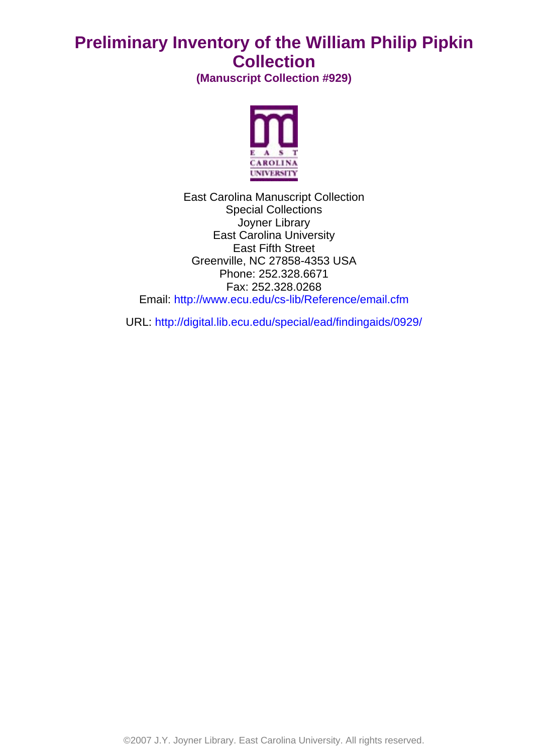# **Preliminary Inventory of the William Philip Pipkin Collection**

**(Manuscript Collection #929)**



East Carolina Manuscript Collection Special Collections Joyner Library East Carolina University East Fifth Street Greenville, NC 27858-4353 USA Phone: 252.328.6671 Fax: 252.328.0268 Email: <http://www.ecu.edu/cs-lib/Reference/email.cfm>

URL: <http://digital.lib.ecu.edu/special/ead/findingaids/0929/>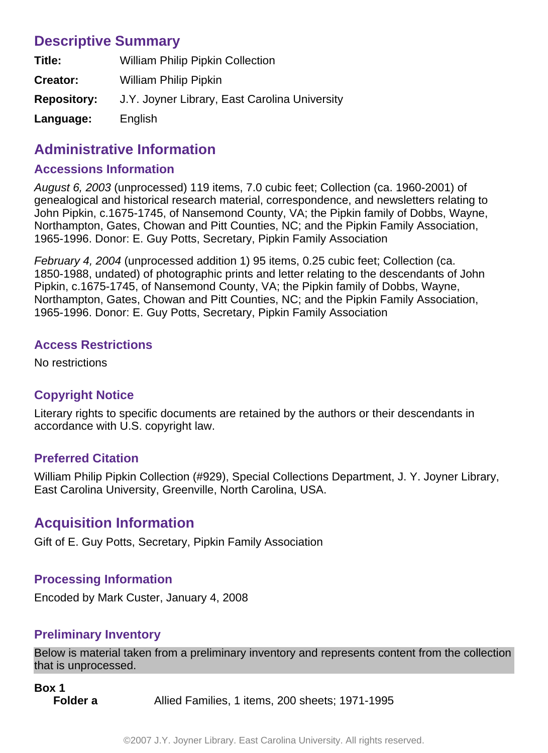## **Descriptive Summary**

| Title:             | <b>William Philip Pipkin Collection</b>       |
|--------------------|-----------------------------------------------|
| Creator:           | <b>William Philip Pipkin</b>                  |
| <b>Repository:</b> | J.Y. Joyner Library, East Carolina University |
| Language:          | English                                       |

## **Administrative Information**

#### **Accessions Information**

August 6, 2003 (unprocessed) 119 items, 7.0 cubic feet; Collection (ca. 1960-2001) of genealogical and historical research material, correspondence, and newsletters relating to John Pipkin, c.1675-1745, of Nansemond County, VA; the Pipkin family of Dobbs, Wayne, Northampton, Gates, Chowan and Pitt Counties, NC; and the Pipkin Family Association, 1965-1996. Donor: E. Guy Potts, Secretary, Pipkin Family Association

February 4, 2004 (unprocessed addition 1) 95 items, 0.25 cubic feet; Collection (ca. 1850-1988, undated) of photographic prints and letter relating to the descendants of John Pipkin, c.1675-1745, of Nansemond County, VA; the Pipkin family of Dobbs, Wayne, Northampton, Gates, Chowan and Pitt Counties, NC; and the Pipkin Family Association, 1965-1996. Donor: E. Guy Potts, Secretary, Pipkin Family Association

#### **Access Restrictions**

No restrictions

### **Copyright Notice**

Literary rights to specific documents are retained by the authors or their descendants in accordance with U.S. copyright law.

### **Preferred Citation**

William Philip Pipkin Collection (#929), Special Collections Department, J. Y. Joyner Library, East Carolina University, Greenville, North Carolina, USA.

## **Acquisition Information**

Gift of E. Guy Potts, Secretary, Pipkin Family Association

### **Processing Information**

Encoded by Mark Custer, January 4, 2008

### **Preliminary Inventory**

Below is material taken from a preliminary inventory and represents content from the collection that is unprocessed.

```
Box 1
Folder a Allied Families, 1 items, 200 sheets; 1971-1995
```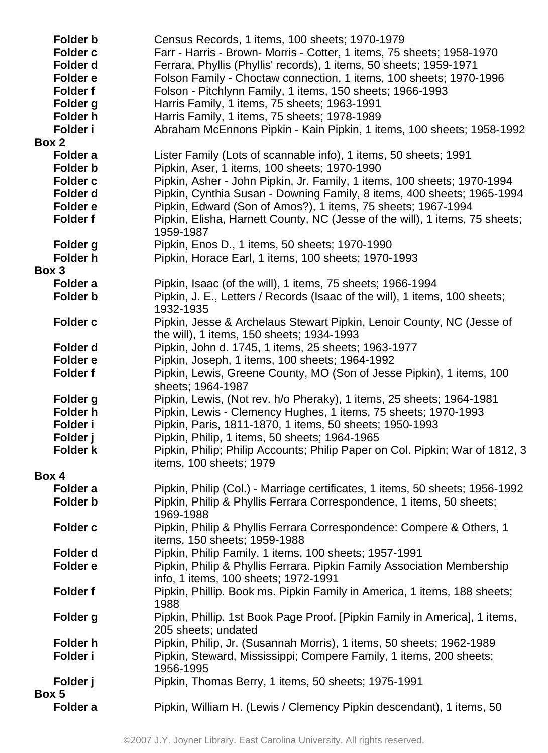| <b>Folder b</b>   | Census Records, 1 items, 100 sheets; 1970-1979                                                                     |
|-------------------|--------------------------------------------------------------------------------------------------------------------|
| <b>Folder c</b>   | Farr - Harris - Brown- Morris - Cotter, 1 items, 75 sheets; 1958-1970                                              |
| Folder d          | Ferrara, Phyllis (Phyllis' records), 1 items, 50 sheets; 1959-1971                                                 |
| Folder e          | Folson Family - Choctaw connection, 1 items, 100 sheets; 1970-1996                                                 |
| <b>Folder f</b>   | Folson - Pitchlynn Family, 1 items, 150 sheets; 1966-1993                                                          |
| Folder g          | Harris Family, 1 items, 75 sheets; 1963-1991                                                                       |
| Folder h          | Harris Family, 1 items, 75 sheets; 1978-1989                                                                       |
| Folder i          | Abraham McEnnons Pipkin - Kain Pipkin, 1 items, 100 sheets; 1958-1992                                              |
| Box 2             |                                                                                                                    |
| Folder a          | Lister Family (Lots of scannable info), 1 items, 50 sheets; 1991                                                   |
| <b>Folder b</b>   | Pipkin, Aser, 1 items, 100 sheets; 1970-1990                                                                       |
| <b>Folder c</b>   | Pipkin, Asher - John Pipkin, Jr. Family, 1 items, 100 sheets; 1970-1994                                            |
| Folder d          | Pipkin, Cynthia Susan - Downing Family, 8 items, 400 sheets; 1965-1994                                             |
| Folder e          | Pipkin, Edward (Son of Amos?), 1 items, 75 sheets; 1967-1994                                                       |
| Folder f          | Pipkin, Elisha, Harnett County, NC (Jesse of the will), 1 items, 75 sheets;<br>1959-1987                           |
| Folder g          | Pipkin, Enos D., 1 items, 50 sheets; 1970-1990                                                                     |
| <b>Folder h</b>   | Pipkin, Horace Earl, 1 items, 100 sheets; 1970-1993                                                                |
| Box 3             |                                                                                                                    |
| Folder a          | Pipkin, Isaac (of the will), 1 items, 75 sheets; 1966-1994                                                         |
| Folder b          | Pipkin, J. E., Letters / Records (Isaac of the will), 1 items, 100 sheets;<br>1932-1935                            |
| Folder c          | Pipkin, Jesse & Archelaus Stewart Pipkin, Lenoir County, NC (Jesse of<br>the will), 1 items, 150 sheets; 1934-1993 |
| Folder d          | Pipkin, John d. 1745, 1 items, 25 sheets; 1963-1977                                                                |
| Folder e          | Pipkin, Joseph, 1 items, 100 sheets; 1964-1992                                                                     |
| Folder f          | Pipkin, Lewis, Greene County, MO (Son of Jesse Pipkin), 1 items, 100<br>sheets; 1964-1987                          |
| Folder g          | Pipkin, Lewis, (Not rev. h/o Pheraky), 1 items, 25 sheets; 1964-1981                                               |
| Folder h          | Pipkin, Lewis - Clemency Hughes, 1 items, 75 sheets; 1970-1993                                                     |
| Folder i          | Pipkin, Paris, 1811-1870, 1 items, 50 sheets; 1950-1993                                                            |
| Folder j          | Pipkin, Philip, 1 items, 50 sheets; 1964-1965                                                                      |
| Folder k          | Pipkin, Philip; Philip Accounts; Philip Paper on Col. Pipkin; War of 1812, 3<br>items, 100 sheets; 1979            |
| Box 4             |                                                                                                                    |
| Folder a          | Pipkin, Philip (Col.) - Marriage certificates, 1 items, 50 sheets; 1956-1992                                       |
| <b>Folder b</b>   | Pipkin, Philip & Phyllis Ferrara Correspondence, 1 items, 50 sheets;<br>1969-1988                                  |
| <b>Folder c</b>   | Pipkin, Philip & Phyllis Ferrara Correspondence: Compere & Others, 1<br>items, 150 sheets; 1959-1988               |
| Folder d          | Pipkin, Philip Family, 1 items, 100 sheets; 1957-1991                                                              |
| Folder e          | Pipkin, Philip & Phyllis Ferrara. Pipkin Family Association Membership                                             |
|                   | info, 1 items, 100 sheets; 1972-1991                                                                               |
| <b>Folder f</b>   | Pipkin, Phillip. Book ms. Pipkin Family in America, 1 items, 188 sheets;<br>1988                                   |
| Folder g          | Pipkin, Phillip. 1st Book Page Proof. [Pipkin Family in America], 1 items,<br>205 sheets; undated                  |
| Folder h          | Pipkin, Philip, Jr. (Susannah Morris), 1 items, 50 sheets; 1962-1989                                               |
| Folder i          | Pipkin, Steward, Mississippi; Compere Family, 1 items, 200 sheets;<br>1956-1995                                    |
| Folder j<br>Box 5 | Pipkin, Thomas Berry, 1 items, 50 sheets; 1975-1991                                                                |
| Folder a          | Pipkin, William H. (Lewis / Clemency Pipkin descendant), 1 items, 50                                               |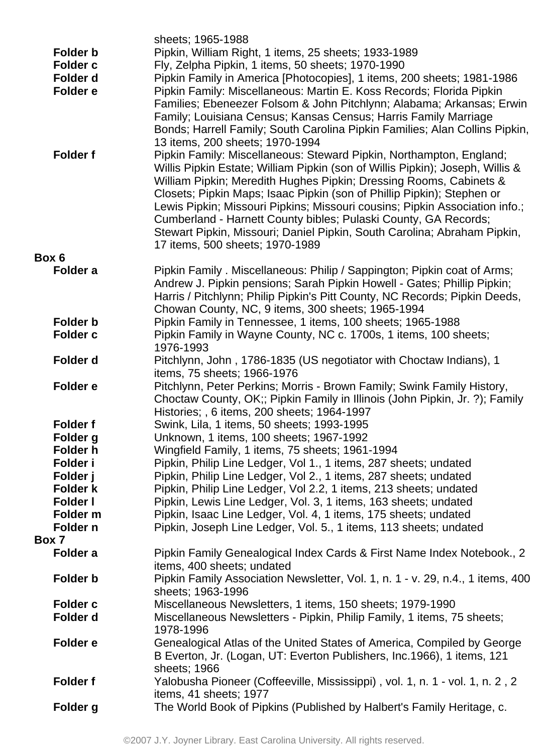|                 | sheets; 1965-1988                                                                   |
|-----------------|-------------------------------------------------------------------------------------|
| <b>Folder b</b> | Pipkin, William Right, 1 items, 25 sheets; 1933-1989                                |
| <b>Folder c</b> | Fly, Zelpha Pipkin, 1 items, 50 sheets; 1970-1990                                   |
| Folder d        | Pipkin Family in America [Photocopies], 1 items, 200 sheets; 1981-1986              |
| Folder e        | Pipkin Family: Miscellaneous: Martin E. Koss Records; Florida Pipkin                |
|                 | Families; Ebeneezer Folsom & John Pitchlynn; Alabama; Arkansas; Erwin               |
|                 | Family; Louisiana Census; Kansas Census; Harris Family Marriage                     |
|                 | Bonds; Harrell Family; South Carolina Pipkin Families; Alan Collins Pipkin,         |
|                 | 13 items, 200 sheets; 1970-1994                                                     |
| <b>Folder f</b> | Pipkin Family: Miscellaneous: Steward Pipkin, Northampton, England;                 |
|                 | Willis Pipkin Estate; William Pipkin (son of Willis Pipkin); Joseph, Willis &       |
|                 | William Pipkin; Meredith Hughes Pipkin; Dressing Rooms, Cabinets &                  |
|                 | Closets; Pipkin Maps; Isaac Pipkin (son of Phillip Pipkin); Stephen or              |
|                 | Lewis Pipkin; Missouri Pipkins; Missouri cousins; Pipkin Association info.;         |
|                 | Cumberland - Harnett County bibles; Pulaski County, GA Records;                     |
|                 | Stewart Pipkin, Missouri; Daniel Pipkin, South Carolina; Abraham Pipkin,            |
|                 | 17 items, 500 sheets; 1970-1989                                                     |
| Box 6           |                                                                                     |
| Folder a        | Pipkin Family . Miscellaneous: Philip / Sappington; Pipkin coat of Arms;            |
|                 | Andrew J. Pipkin pensions; Sarah Pipkin Howell - Gates; Phillip Pipkin;             |
|                 | Harris / Pitchlynn; Philip Pipkin's Pitt County, NC Records; Pipkin Deeds,          |
|                 | Chowan County, NC, 9 items, 300 sheets; 1965-1994                                   |
| <b>Folder b</b> | Pipkin Family in Tennessee, 1 items, 100 sheets; 1965-1988                          |
| <b>Folder c</b> | Pipkin Family in Wayne County, NC c. 1700s, 1 items, 100 sheets;                    |
|                 | 1976-1993                                                                           |
| Folder d        | Pitchlynn, John, 1786-1835 (US negotiator with Choctaw Indians), 1                  |
|                 | items, 75 sheets; 1966-1976                                                         |
| Folder e        | Pitchlynn, Peter Perkins; Morris - Brown Family; Swink Family History,              |
|                 | Choctaw County, OK;; Pipkin Family in Illinois (John Pipkin, Jr. ?); Family         |
|                 | Histories; , 6 items, 200 sheets; 1964-1997                                         |
| <b>Folder f</b> | Swink, Lila, 1 items, 50 sheets; 1993-1995                                          |
| Folder g        | Unknown, 1 items, 100 sheets; 1967-1992                                             |
| Folder h        | Wingfield Family, 1 items, 75 sheets; 1961-1994                                     |
| Folder i        | Pipkin, Philip Line Ledger, Vol 1., 1 items, 287 sheets; undated                    |
| Folder j        | Pipkin, Philip Line Ledger, Vol 2., 1 items, 287 sheets; undated                    |
| Folder k        | Pipkin, Philip Line Ledger, Vol 2.2, 1 items, 213 sheets; undated                   |
| <b>Folder I</b> | Pipkin, Lewis Line Ledger, Vol. 3, 1 items, 163 sheets; undated                     |
| Folder m        | Pipkin, Isaac Line Ledger, Vol. 4, 1 items, 175 sheets; undated                     |
| Folder n        | Pipkin, Joseph Line Ledger, Vol. 5., 1 items, 113 sheets; undated                   |
| Box 7           |                                                                                     |
| Folder a        | Pipkin Family Genealogical Index Cards & First Name Index Notebook., 2              |
|                 | items, 400 sheets; undated                                                          |
| <b>Folder b</b> | Pipkin Family Association Newsletter, Vol. 1, n. 1 - v. 29, n.4., 1 items, 400      |
| <b>Folder c</b> | sheets; 1963-1996                                                                   |
|                 | Miscellaneous Newsletters, 1 items, 150 sheets; 1979-1990                           |
| Folder d        | Miscellaneous Newsletters - Pipkin, Philip Family, 1 items, 75 sheets;<br>1978-1996 |
| Folder e        | Genealogical Atlas of the United States of America, Compiled by George              |
|                 | B Everton, Jr. (Logan, UT: Everton Publishers, Inc. 1966), 1 items, 121             |
|                 | sheets; 1966                                                                        |
| <b>Folder f</b> | Yalobusha Pioneer (Coffeeville, Mississippi), vol. 1, n. 1 - vol. 1, n. 2, 2        |
|                 | items, 41 sheets; 1977                                                              |
| Folder g        | The World Book of Pipkins (Published by Halbert's Family Heritage, c.               |
|                 |                                                                                     |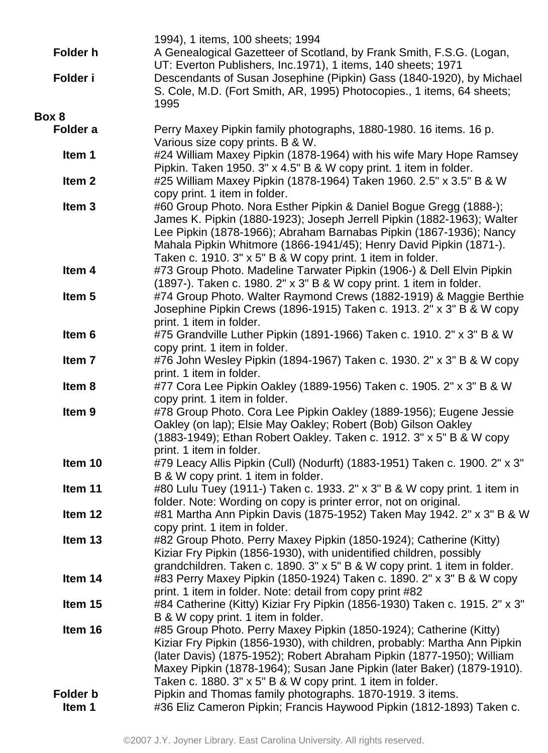|                   | 1994), 1 items, 100 sheets; 1994                                                                                                                |
|-------------------|-------------------------------------------------------------------------------------------------------------------------------------------------|
| <b>Folder h</b>   | A Genealogical Gazetteer of Scotland, by Frank Smith, F.S.G. (Logan,                                                                            |
|                   | UT: Everton Publishers, Inc.1971), 1 items, 140 sheets; 1971                                                                                    |
| Folder i          | Descendants of Susan Josephine (Pipkin) Gass (1840-1920), by Michael                                                                            |
|                   | S. Cole, M.D. (Fort Smith, AR, 1995) Photocopies., 1 items, 64 sheets;                                                                          |
|                   | 1995                                                                                                                                            |
| Box 8             |                                                                                                                                                 |
| Folder a          | Perry Maxey Pipkin family photographs, 1880-1980. 16 items. 16 p.                                                                               |
|                   | Various size copy prints. B & W.                                                                                                                |
| Item 1            | #24 William Maxey Pipkin (1878-1964) with his wife Mary Hope Ramsey                                                                             |
|                   | Pipkin. Taken 1950. 3" x 4.5" B & W copy print. 1 item in folder.                                                                               |
| Item <sub>2</sub> | #25 William Maxey Pipkin (1878-1964) Taken 1960. 2.5" x 3.5" B & W                                                                              |
|                   | copy print. 1 item in folder.                                                                                                                   |
| Item <sub>3</sub> | #60 Group Photo. Nora Esther Pipkin & Daniel Bogue Gregg (1888-);                                                                               |
|                   | James K. Pipkin (1880-1923); Joseph Jerrell Pipkin (1882-1963); Walter                                                                          |
|                   | Lee Pipkin (1878-1966); Abraham Barnabas Pipkin (1867-1936); Nancy                                                                              |
|                   | Mahala Pipkin Whitmore (1866-1941/45); Henry David Pipkin (1871-).                                                                              |
|                   | Taken c. 1910. 3" x 5" B & W copy print. 1 item in folder.                                                                                      |
| Item 4            | #73 Group Photo. Madeline Tarwater Pipkin (1906-) & Dell Elvin Pipkin                                                                           |
| Item <sub>5</sub> | (1897-). Taken c. 1980. 2" x 3" B & W copy print. 1 item in folder.<br>#74 Group Photo. Walter Raymond Crews (1882-1919) & Maggie Berthie       |
|                   | Josephine Pipkin Crews (1896-1915) Taken c. 1913. 2" x 3" B & W copy                                                                            |
|                   | print. 1 item in folder.                                                                                                                        |
| Item 6            | #75 Grandville Luther Pipkin (1891-1966) Taken c. 1910. 2" x 3" B & W                                                                           |
|                   | copy print. 1 item in folder.                                                                                                                   |
| Item <sub>7</sub> | #76 John Wesley Pipkin (1894-1967) Taken c. 1930. 2" x 3" B & W copy                                                                            |
|                   | print. 1 item in folder.                                                                                                                        |
| Item 8            | #77 Cora Lee Pipkin Oakley (1889-1956) Taken c. 1905. 2" x 3" B & W                                                                             |
|                   | copy print. 1 item in folder.                                                                                                                   |
| Item <sub>9</sub> | #78 Group Photo. Cora Lee Pipkin Oakley (1889-1956); Eugene Jessie                                                                              |
|                   | Oakley (on lap); Elsie May Oakley; Robert (Bob) Gilson Oakley                                                                                   |
|                   | (1883-1949); Ethan Robert Oakley. Taken c. 1912. 3" x 5" B & W copy                                                                             |
|                   | print. 1 item in folder.                                                                                                                        |
| Item 10           | #79 Leacy Allis Pipkin (Cull) (Nodurft) (1883-1951) Taken c. 1900. 2" x 3"                                                                      |
|                   | B & W copy print. 1 item in folder.                                                                                                             |
| Item 11           | #80 Lulu Tuey (1911-) Taken c. 1933. 2" x 3" B & W copy print. 1 item in                                                                        |
|                   | folder. Note: Wording on copy is printer error, not on original.                                                                                |
| Item 12           | #81 Martha Ann Pipkin Davis (1875-1952) Taken May 1942. 2" x 3" B & W                                                                           |
|                   | copy print. 1 item in folder.                                                                                                                   |
| Item 13           | #82 Group Photo. Perry Maxey Pipkin (1850-1924); Catherine (Kitty)                                                                              |
|                   | Kiziar Fry Pipkin (1856-1930), with unidentified children, possibly                                                                             |
|                   | grandchildren. Taken c. 1890. 3" x 5" B & W copy print. 1 item in folder.                                                                       |
| Item 14           | #83 Perry Maxey Pipkin (1850-1924) Taken c. 1890. 2" x 3" B & W copy                                                                            |
|                   | print. 1 item in folder. Note: detail from copy print #82                                                                                       |
| Item 15           | #84 Catherine (Kitty) Kiziar Fry Pipkin (1856-1930) Taken c. 1915. 2" x 3"                                                                      |
| Item 16           | B & W copy print. 1 item in folder.                                                                                                             |
|                   | #85 Group Photo. Perry Maxey Pipkin (1850-1924); Catherine (Kitty)<br>Kiziar Fry Pipkin (1856-1930), with children, probably: Martha Ann Pipkin |
|                   | (later Davis) (1875-1952); Robert Abraham Pipkin (1877-1950); William                                                                           |
|                   | Maxey Pipkin (1878-1964); Susan Jane Pipkin (later Baker) (1879-1910).                                                                          |
|                   | Taken c. 1880. 3" x 5" B & W copy print. 1 item in folder.                                                                                      |
| <b>Folder b</b>   | Pipkin and Thomas family photographs. 1870-1919. 3 items.                                                                                       |
| Item 1            | #36 Eliz Cameron Pipkin; Francis Haywood Pipkin (1812-1893) Taken c.                                                                            |
|                   |                                                                                                                                                 |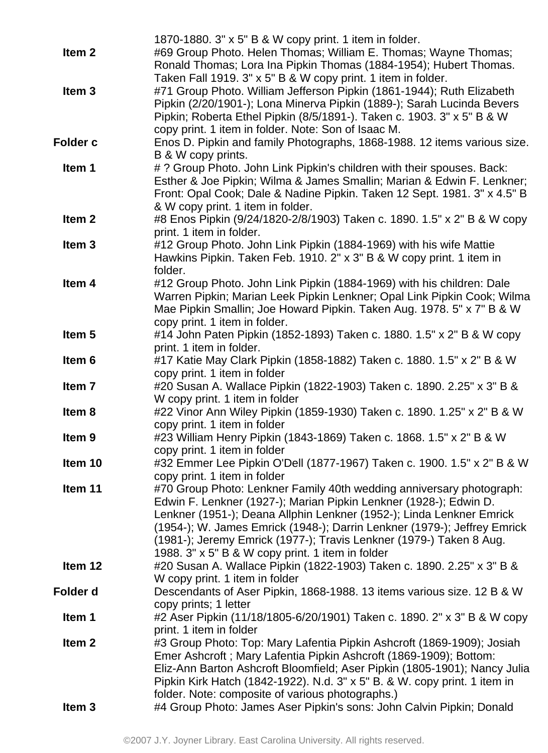|                   | 1870-1880. 3" x 5" B & W copy print. 1 item in folder.                    |
|-------------------|---------------------------------------------------------------------------|
| Item <sub>2</sub> | #69 Group Photo. Helen Thomas; William E. Thomas; Wayne Thomas;           |
|                   | Ronald Thomas; Lora Ina Pipkin Thomas (1884-1954); Hubert Thomas.         |
|                   | Taken Fall 1919. 3" x 5" B & W copy print. 1 item in folder.              |
| Item <sub>3</sub> | #71 Group Photo. William Jefferson Pipkin (1861-1944); Ruth Elizabeth     |
|                   | Pipkin (2/20/1901-); Lona Minerva Pipkin (1889-); Sarah Lucinda Bevers    |
|                   | Pipkin; Roberta Ethel Pipkin (8/5/1891-). Taken c. 1903. 3" x 5" B & W    |
|                   | copy print. 1 item in folder. Note: Son of Isaac M.                       |
| <b>Folder c</b>   | Enos D. Pipkin and family Photographs, 1868-1988. 12 items various size.  |
|                   |                                                                           |
|                   | B & W copy prints.                                                        |
| Item 1            | # ? Group Photo. John Link Pipkin's children with their spouses. Back:    |
|                   | Esther & Joe Pipkin; Wilma & James Smallin; Marian & Edwin F. Lenkner;    |
|                   | Front: Opal Cook; Dale & Nadine Pipkin. Taken 12 Sept. 1981. 3" x 4.5" B  |
|                   | & W copy print. 1 item in folder.                                         |
| Item <sub>2</sub> | #8 Enos Pipkin (9/24/1820-2/8/1903) Taken c. 1890. 1.5" x 2" B & W copy   |
|                   | print. 1 item in folder.                                                  |
| Item <sub>3</sub> | #12 Group Photo. John Link Pipkin (1884-1969) with his wife Mattie        |
|                   | Hawkins Pipkin. Taken Feb. 1910. 2" x 3" B & W copy print. 1 item in      |
|                   | folder.                                                                   |
| Item 4            | #12 Group Photo. John Link Pipkin (1884-1969) with his children: Dale     |
|                   | Warren Pipkin; Marian Leek Pipkin Lenkner; Opal Link Pipkin Cook; Wilma   |
|                   | Mae Pipkin Smallin; Joe Howard Pipkin. Taken Aug. 1978. 5" x 7" B & W     |
|                   | copy print. 1 item in folder.                                             |
| Item <sub>5</sub> | #14 John Paten Pipkin (1852-1893) Taken c. 1880. 1.5" x 2" B & W copy     |
|                   | print. 1 item in folder.                                                  |
| Item 6            | #17 Katie May Clark Pipkin (1858-1882) Taken c. 1880. 1.5" x 2" B & W     |
|                   | copy print. 1 item in folder                                              |
| Item 7            | #20 Susan A. Wallace Pipkin (1822-1903) Taken c. 1890. 2.25" x 3" B &     |
|                   | W copy print. 1 item in folder                                            |
| Item 8            | #22 Vinor Ann Wiley Pipkin (1859-1930) Taken c. 1890. 1.25" x 2" B & W    |
|                   | copy print. 1 item in folder                                              |
| Item <sub>9</sub> | #23 William Henry Pipkin (1843-1869) Taken c. 1868. 1.5" x 2" B & W       |
|                   | copy print. 1 item in folder                                              |
| Item 10           | #32 Emmer Lee Pipkin O'Dell (1877-1967) Taken c. 1900. 1.5" x 2" B & W    |
|                   | copy print. 1 item in folder                                              |
| Item 11           | #70 Group Photo: Lenkner Family 40th wedding anniversary photograph:      |
|                   | Edwin F. Lenkner (1927-); Marian Pipkin Lenkner (1928-); Edwin D.         |
|                   | Lenkner (1951-); Deana Allphin Lenkner (1952-); Linda Lenkner Emrick      |
|                   | (1954-); W. James Emrick (1948-); Darrin Lenkner (1979-); Jeffrey Emrick  |
|                   | (1981-); Jeremy Emrick (1977-); Travis Lenkner (1979-) Taken 8 Aug.       |
|                   | 1988. 3" x 5" B & W copy print. 1 item in folder                          |
| Item 12           | #20 Susan A. Wallace Pipkin (1822-1903) Taken c. 1890. 2.25" x 3" B &     |
|                   | W copy print. 1 item in folder                                            |
| Folder d          | Descendants of Aser Pipkin, 1868-1988. 13 items various size. 12 B & W    |
|                   | copy prints; 1 letter                                                     |
| Item 1            | #2 Aser Pipkin (11/18/1805-6/20/1901) Taken c. 1890. 2" x 3" B & W copy   |
|                   | print. 1 item in folder                                                   |
| Item <sub>2</sub> |                                                                           |
|                   | #3 Group Photo: Top: Mary Lafentia Pipkin Ashcroft (1869-1909); Josiah    |
|                   | Emer Ashcroft; Mary Lafentia Pipkin Ashcroft (1869-1909); Bottom:         |
|                   | Eliz-Ann Barton Ashcroft Bloomfield; Aser Pipkin (1805-1901); Nancy Julia |
|                   | Pipkin Kirk Hatch (1842-1922). N.d. 3" x 5" B. & W. copy print. 1 item in |
|                   | folder. Note: composite of various photographs.)                          |
| Item <sub>3</sub> | #4 Group Photo: James Aser Pipkin's sons: John Calvin Pipkin; Donald      |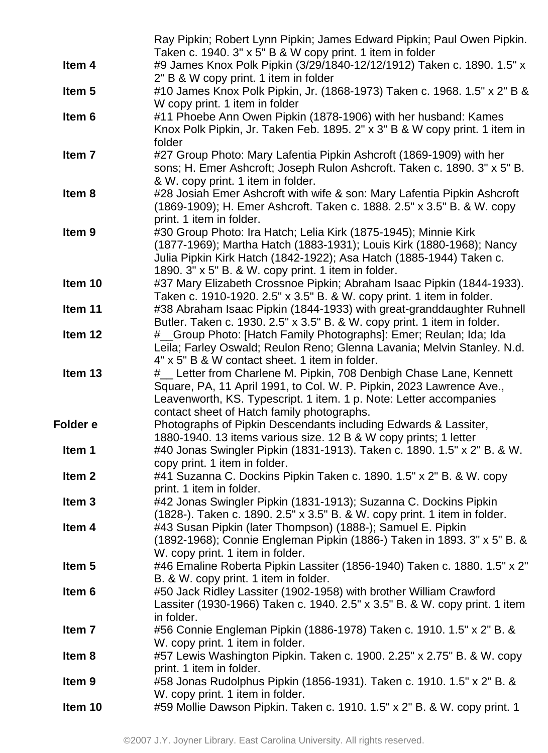|                   | Ray Pipkin; Robert Lynn Pipkin; James Edward Pipkin; Paul Owen Pipkin.                                                                       |
|-------------------|----------------------------------------------------------------------------------------------------------------------------------------------|
|                   | Taken c. 1940. 3" x 5" B & W copy print. 1 item in folder                                                                                    |
| Item 4            | #9 James Knox Polk Pipkin (3/29/1840-12/12/1912) Taken c. 1890. 1.5" x                                                                       |
|                   | 2" B & W copy print. 1 item in folder                                                                                                        |
| Item <sub>5</sub> | #10 James Knox Polk Pipkin, Jr. (1868-1973) Taken c. 1968. 1.5" x 2" B &                                                                     |
|                   | W copy print. 1 item in folder                                                                                                               |
| Item <sub>6</sub> | #11 Phoebe Ann Owen Pipkin (1878-1906) with her husband: Kames                                                                               |
|                   | Knox Polk Pipkin, Jr. Taken Feb. 1895. 2" x 3" B & W copy print. 1 item in                                                                   |
|                   | folder                                                                                                                                       |
| Item 7            | #27 Group Photo: Mary Lafentia Pipkin Ashcroft (1869-1909) with her                                                                          |
|                   | sons; H. Emer Ashcroft; Joseph Rulon Ashcroft. Taken c. 1890. 3" x 5" B.                                                                     |
|                   | & W. copy print. 1 item in folder.                                                                                                           |
| Item 8            | #28 Josiah Emer Ashcroft with wife & son: Mary Lafentia Pipkin Ashcroft                                                                      |
|                   | (1869-1909); H. Emer Ashcroft. Taken c. 1888. 2.5" x 3.5" B. & W. copy                                                                       |
|                   | print. 1 item in folder.                                                                                                                     |
| Item <sub>9</sub> | #30 Group Photo: Ira Hatch; Lelia Kirk (1875-1945); Minnie Kirk                                                                              |
|                   | (1877-1969); Martha Hatch (1883-1931); Louis Kirk (1880-1968); Nancy                                                                         |
|                   | Julia Pipkin Kirk Hatch (1842-1922); Asa Hatch (1885-1944) Taken c.                                                                          |
|                   | 1890. 3" x 5" B. & W. copy print. 1 item in folder.                                                                                          |
| Item 10           | #37 Mary Elizabeth Crossnoe Pipkin; Abraham Isaac Pipkin (1844-1933).                                                                        |
|                   | Taken c. 1910-1920. 2.5" x 3.5" B. & W. copy print. 1 item in folder.                                                                        |
| Item 11           | #38 Abraham Isaac Pipkin (1844-1933) with great-granddaughter Ruhnell                                                                        |
|                   | Butler. Taken c. 1930. 2.5" x 3.5" B. & W. copy print. 1 item in folder.                                                                     |
| Item 12           | # Group Photo: [Hatch Family Photographs]: Emer; Reulan; Ida; Ida<br>Leila; Farley Oswald; Reulon Reno; Glenna Lavania; Melvin Stanley. N.d. |
|                   | 4" x 5" B & W contact sheet. 1 item in folder.                                                                                               |
| Item 13           | #_ Letter from Charlene M. Pipkin, 708 Denbigh Chase Lane, Kennett                                                                           |
|                   | Square, PA, 11 April 1991, to Col. W. P. Pipkin, 2023 Lawrence Ave.,                                                                         |
|                   | Leavenworth, KS. Typescript. 1 item. 1 p. Note: Letter accompanies                                                                           |
|                   | contact sheet of Hatch family photographs.                                                                                                   |
| Folder e          | Photographs of Pipkin Descendants including Edwards & Lassiter,                                                                              |
|                   | 1880-1940. 13 items various size. 12 B & W copy prints; 1 letter                                                                             |
| Item 1            | #40 Jonas Swingler Pipkin (1831-1913). Taken c. 1890. 1.5" x 2" B. & W.                                                                      |
|                   | copy print. 1 item in folder.                                                                                                                |
| Item <sub>2</sub> | #41 Suzanna C. Dockins Pipkin Taken c. 1890. 1.5" x 2" B. & W. copy                                                                          |
|                   | print. 1 item in folder.                                                                                                                     |
| Item <sub>3</sub> | #42 Jonas Swingler Pipkin (1831-1913); Suzanna C. Dockins Pipkin                                                                             |
|                   | (1828-). Taken c. 1890. 2.5" x 3.5" B. & W. copy print. 1 item in folder.                                                                    |
| Item 4            | #43 Susan Pipkin (later Thompson) (1888-); Samuel E. Pipkin                                                                                  |
|                   | (1892-1968); Connie Engleman Pipkin (1886-) Taken in 1893. 3" x 5" B. &                                                                      |
|                   | W. copy print. 1 item in folder.                                                                                                             |
| Item <sub>5</sub> | #46 Emaline Roberta Pipkin Lassiter (1856-1940) Taken c. 1880. 1.5" x 2"                                                                     |
|                   | B. & W. copy print. 1 item in folder.                                                                                                        |
| Item <sub>6</sub> | #50 Jack Ridley Lassiter (1902-1958) with brother William Crawford                                                                           |
|                   | Lassiter (1930-1966) Taken c. 1940. 2.5" x 3.5" B. & W. copy print. 1 item                                                                   |
|                   | in folder.                                                                                                                                   |
| Item <sub>7</sub> | #56 Connie Engleman Pipkin (1886-1978) Taken c. 1910. 1.5" x 2" B. &                                                                         |
|                   | W. copy print. 1 item in folder.                                                                                                             |
| Item <sub>8</sub> | #57 Lewis Washington Pipkin. Taken c. 1900. 2.25" x 2.75" B. & W. copy                                                                       |
|                   | print. 1 item in folder.                                                                                                                     |
| Item <sub>9</sub> | #58 Jonas Rudolphus Pipkin (1856-1931). Taken c. 1910. 1.5" x 2" B. &                                                                        |
|                   | W. copy print. 1 item in folder.                                                                                                             |
| Item 10           | #59 Mollie Dawson Pipkin. Taken c. 1910. 1.5" x 2" B. & W. copy print. 1                                                                     |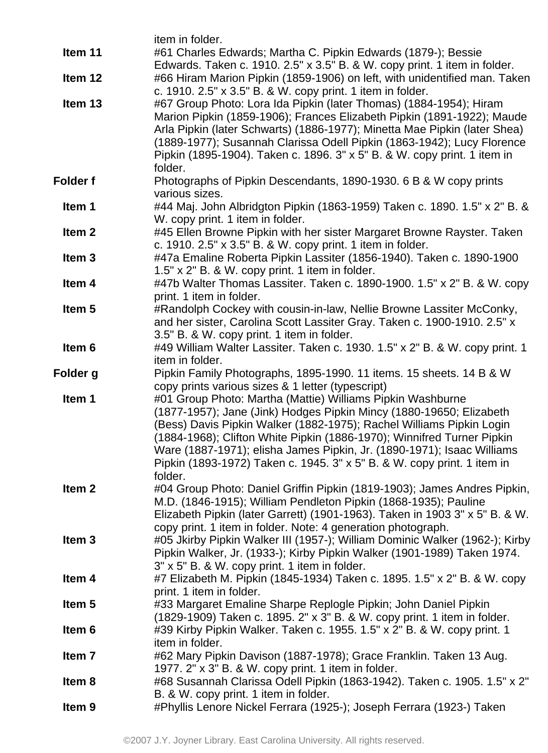|                   | item in folder.                                                             |
|-------------------|-----------------------------------------------------------------------------|
| Item 11           | #61 Charles Edwards; Martha C. Pipkin Edwards (1879-); Bessie               |
|                   | Edwards. Taken c. 1910. 2.5" x 3.5" B. & W. copy print. 1 item in folder.   |
| Item 12           | #66 Hiram Marion Pipkin (1859-1906) on left, with unidentified man. Taken   |
|                   | c. 1910. 2.5" x 3.5" B. & W. copy print. 1 item in folder.                  |
| Item 13           | #67 Group Photo: Lora Ida Pipkin (later Thomas) (1884-1954); Hiram          |
|                   | Marion Pipkin (1859-1906); Frances Elizabeth Pipkin (1891-1922); Maude      |
|                   | Arla Pipkin (later Schwarts) (1886-1977); Minetta Mae Pipkin (later Shea)   |
|                   | (1889-1977); Susannah Clarissa Odell Pipkin (1863-1942); Lucy Florence      |
|                   | Pipkin (1895-1904). Taken c. 1896. 3" x 5" B. & W. copy print. 1 item in    |
|                   | folder.                                                                     |
| <b>Folder f</b>   | Photographs of Pipkin Descendants, 1890-1930. 6 B & W copy prints           |
|                   | various sizes.                                                              |
| Item 1            | #44 Maj. John Albridgton Pipkin (1863-1959) Taken c. 1890. 1.5" x 2" B. &   |
|                   | W. copy print. 1 item in folder.                                            |
| Item <sub>2</sub> | #45 Ellen Browne Pipkin with her sister Margaret Browne Rayster. Taken      |
|                   | c. 1910. 2.5" x 3.5" B. & W. copy print. 1 item in folder.                  |
| Item <sub>3</sub> | #47a Emaline Roberta Pipkin Lassiter (1856-1940). Taken c. 1890-1900        |
|                   | $1.5" \times 2"$ B. & W. copy print. 1 item in folder.                      |
| Item 4            | #47b Walter Thomas Lassiter. Taken c. 1890-1900. 1.5" x 2" B. & W. copy     |
|                   | print. 1 item in folder.                                                    |
| Item <sub>5</sub> | #Randolph Cockey with cousin-in-law, Nellie Browne Lassiter McConky,        |
|                   | and her sister, Carolina Scott Lassiter Gray. Taken c. 1900-1910. 2.5" x    |
|                   | 3.5" B. & W. copy print. 1 item in folder.                                  |
| Item 6            | #49 William Walter Lassiter. Taken c. 1930. 1.5" x 2" B. & W. copy print. 1 |
|                   | item in folder.                                                             |
| Folder g          | Pipkin Family Photographs, 1895-1990. 11 items. 15 sheets. 14 B & W         |
|                   | copy prints various sizes & 1 letter (typescript)                           |
| Item 1            | #01 Group Photo: Martha (Mattie) Williams Pipkin Washburne                  |
|                   | (1877-1957); Jane (Jink) Hodges Pipkin Mincy (1880-19650; Elizabeth         |
|                   | (Bess) Davis Pipkin Walker (1882-1975); Rachel Williams Pipkin Login        |
|                   | (1884-1968); Clifton White Pipkin (1886-1970); Winnifred Turner Pipkin      |
|                   | Ware (1887-1971); elisha James Pipkin, Jr. (1890-1971); Isaac Williams      |
|                   | Pipkin (1893-1972) Taken c. 1945. 3" x 5" B. & W. copy print. 1 item in     |
|                   | folder.                                                                     |
| Item <sub>2</sub> | #04 Group Photo: Daniel Griffin Pipkin (1819-1903); James Andres Pipkin,    |
|                   | M.D. (1846-1915); William Pendleton Pipkin (1868-1935); Pauline             |
|                   | Elizabeth Pipkin (later Garrett) (1901-1963). Taken in 1903 3" x 5" B. & W. |
|                   | copy print. 1 item in folder. Note: 4 generation photograph.                |
| Item <sub>3</sub> | #05 Jkirby Pipkin Walker III (1957-); William Dominic Walker (1962-); Kirby |
|                   | Pipkin Walker, Jr. (1933-); Kirby Pipkin Walker (1901-1989) Taken 1974.     |
|                   | $3" \times 5"$ B. & W. copy print. 1 item in folder.                        |
| Item 4            | #7 Elizabeth M. Pipkin (1845-1934) Taken c. 1895. 1.5" x 2" B. & W. copy    |
|                   | print. 1 item in folder.                                                    |
| Item <sub>5</sub> | #33 Margaret Emaline Sharpe Replogle Pipkin; John Daniel Pipkin             |
|                   | (1829-1909) Taken c. 1895. 2" x 3" B. & W. copy print. 1 item in folder.    |
| Item 6            | #39 Kirby Pipkin Walker. Taken c. 1955. 1.5" x 2" B. & W. copy print. 1     |
|                   | item in folder.                                                             |
| Item 7            | #62 Mary Pipkin Davison (1887-1978); Grace Franklin. Taken 13 Aug.          |
|                   | 1977. 2" x 3" B. & W. copy print. 1 item in folder.                         |
| Item 8            | #68 Susannah Clarissa Odell Pipkin (1863-1942). Taken c. 1905. 1.5" x 2"    |
|                   | B. & W. copy print. 1 item in folder.                                       |
| Item <sub>9</sub> | #Phyllis Lenore Nickel Ferrara (1925-); Joseph Ferrara (1923-) Taken        |
|                   |                                                                             |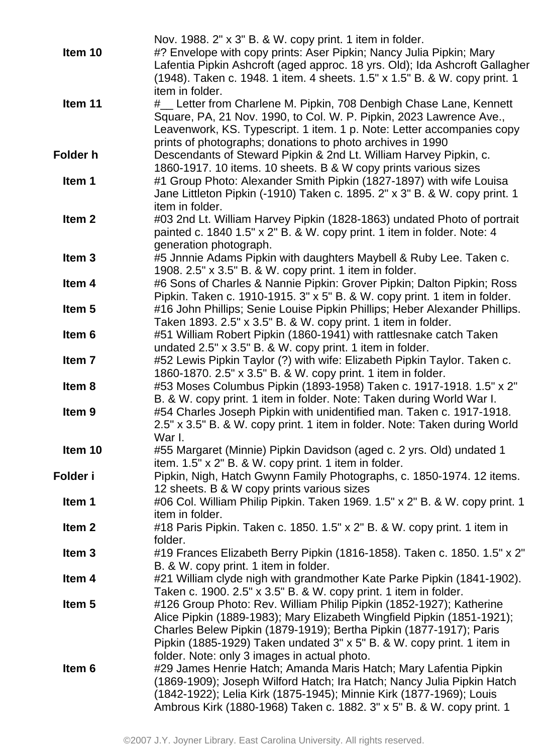|                   | Nov. 1988. 2" x 3" B. & W. copy print. 1 item in folder.                    |
|-------------------|-----------------------------------------------------------------------------|
| Item 10           | #? Envelope with copy prints: Aser Pipkin; Nancy Julia Pipkin; Mary         |
|                   | Lafentia Pipkin Ashcroft (aged approc. 18 yrs. Old); Ida Ashcroft Gallagher |
|                   | (1948). Taken c. 1948. 1 item. 4 sheets. 1.5" x 1.5" B. & W. copy print. 1  |
|                   | item in folder.                                                             |
| Item 11           | #_ Letter from Charlene M. Pipkin, 708 Denbigh Chase Lane, Kennett          |
|                   | Square, PA, 21 Nov. 1990, to Col. W. P. Pipkin, 2023 Lawrence Ave.,         |
|                   | Leavenwork, KS. Typescript. 1 item. 1 p. Note: Letter accompanies copy      |
|                   | prints of photographs; donations to photo archives in 1990                  |
| Folder h          | Descendants of Steward Pipkin & 2nd Lt. William Harvey Pipkin, c.           |
|                   | 1860-1917. 10 items. 10 sheets. B & W copy prints various sizes             |
| Item 1            | #1 Group Photo: Alexander Smith Pipkin (1827-1897) with wife Louisa         |
|                   | Jane Littleton Pipkin (-1910) Taken c. 1895. 2" x 3" B. & W. copy print. 1  |
|                   | item in folder.                                                             |
| Item <sub>2</sub> | #03 2nd Lt. William Harvey Pipkin (1828-1863) undated Photo of portrait     |
|                   | painted c. 1840 1.5" x 2" B. & W. copy print. 1 item in folder. Note: 4     |
|                   | generation photograph.                                                      |
| Item <sub>3</sub> | #5 Jnnnie Adams Pipkin with daughters Maybell & Ruby Lee. Taken c.          |
|                   | 1908. 2.5" x 3.5" B. & W. copy print. 1 item in folder.                     |
| Item 4            | #6 Sons of Charles & Nannie Pipkin: Grover Pipkin; Dalton Pipkin; Ross      |
|                   | Pipkin. Taken c. 1910-1915. 3" x 5" B. & W. copy print. 1 item in folder.   |
| Item <sub>5</sub> | #16 John Phillips; Senie Louise Pipkin Phillips; Heber Alexander Phillips.  |
|                   | Taken 1893. 2.5" x 3.5" B. & W. copy print. 1 item in folder.               |
| Item <sub>6</sub> | #51 William Robert Pipkin (1860-1941) with rattlesnake catch Taken          |
|                   | undated 2.5" x 3.5" B. & W. copy print. 1 item in folder.                   |
| Item <sub>7</sub> | #52 Lewis Pipkin Taylor (?) with wife: Elizabeth Pipkin Taylor. Taken c.    |
|                   | 1860-1870. 2.5" x 3.5" B. & W. copy print. 1 item in folder.                |
| Item <sub>8</sub> | #53 Moses Columbus Pipkin (1893-1958) Taken c. 1917-1918. 1.5" x 2"         |
|                   | B. & W. copy print. 1 item in folder. Note: Taken during World War I.       |
| Item <sub>9</sub> | #54 Charles Joseph Pipkin with unidentified man. Taken c. 1917-1918.        |
|                   | 2.5" x 3.5" B. & W. copy print. 1 item in folder. Note: Taken during World  |
|                   | War I.                                                                      |
| Item 10           | #55 Margaret (Minnie) Pipkin Davidson (aged c. 2 yrs. Old) undated 1        |
|                   | item. 1.5" x 2" B. & W. copy print. 1 item in folder.                       |
| Folder i          | Pipkin, Nigh, Hatch Gwynn Family Photographs, c. 1850-1974. 12 items.       |
|                   | 12 sheets. B & W copy prints various sizes                                  |
| Item 1            | #06 Col. William Philip Pipkin. Taken 1969. 1.5" x 2" B. & W. copy print. 1 |
|                   | item in folder.                                                             |
| Item <sub>2</sub> | #18 Paris Pipkin. Taken c. 1850. 1.5" x 2" B. & W. copy print. 1 item in    |
|                   | folder.                                                                     |
| Item <sub>3</sub> | #19 Frances Elizabeth Berry Pipkin (1816-1858). Taken c. 1850. 1.5" x 2"    |
|                   | B. & W. copy print. 1 item in folder.                                       |
| Item 4            | #21 William clyde nigh with grandmother Kate Parke Pipkin (1841-1902).      |
|                   | Taken c. 1900. 2.5" x 3.5" B. & W. copy print. 1 item in folder.            |
| Item <sub>5</sub> | #126 Group Photo: Rev. William Philip Pipkin (1852-1927); Katherine         |
|                   | Alice Pipkin (1889-1983); Mary Elizabeth Wingfield Pipkin (1851-1921);      |
|                   | Charles Belew Pipkin (1879-1919); Bertha Pipkin (1877-1917); Paris          |
|                   | Pipkin (1885-1929) Taken undated 3" x 5" B. & W. copy print. 1 item in      |
|                   | folder. Note: only 3 images in actual photo.                                |
| Item 6            | #29 James Henrie Hatch; Amanda Maris Hatch; Mary Lafentia Pipkin            |
|                   | (1869-1909); Joseph Wilford Hatch; Ira Hatch; Nancy Julia Pipkin Hatch      |
|                   | (1842-1922); Lelia Kirk (1875-1945); Minnie Kirk (1877-1969); Louis         |
|                   | Ambrous Kirk (1880-1968) Taken c. 1882. 3" x 5" B. & W. copy print. 1       |